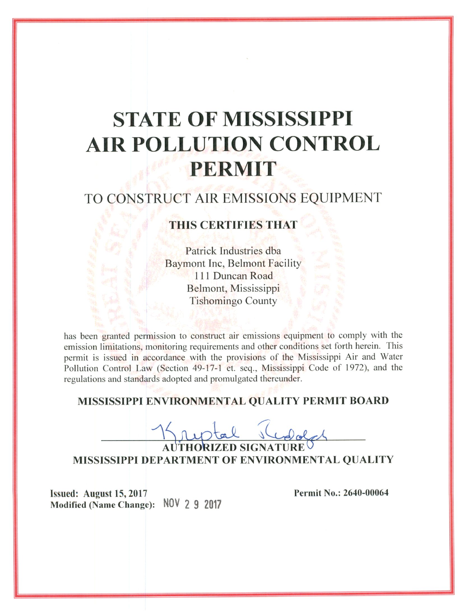# **STATE OF MISSISSIPPI AIR POLLUTION CONTROL PERMIT**

## TO CONSTRUCT AIR EMISSIONS EQUIPMENT

### **THIS CERTIFIES THAT**

Patrick Industries dba **Baymont Inc, Belmont Facility** 111 Duncan Road Belmont, Mississippi **Tishomingo County** 

has been granted permission to construct air emissions equipment to comply with the emission limitations, monitoring requirements and other conditions set forth herein. This permit is issued in accordance with the provisions of the Mississippi Air and Water Pollution Control Law (Section 49-17-1 et. seq., Mississippi Code of 1972), and the regulations and standards adopted and promulgated thereunder.

#### MISSISSIPPI ENVIRONMENTAL QUALITY PERMIT BOARD

**RIZED SIGNATURE** MISSISSIPPI DEPARTMENT OF ENVIRONMENTAL QUALITY

Issued: August 15, 2017 Modified (Name Change): NOV 2 9 2017 Permit No.: 2640-00064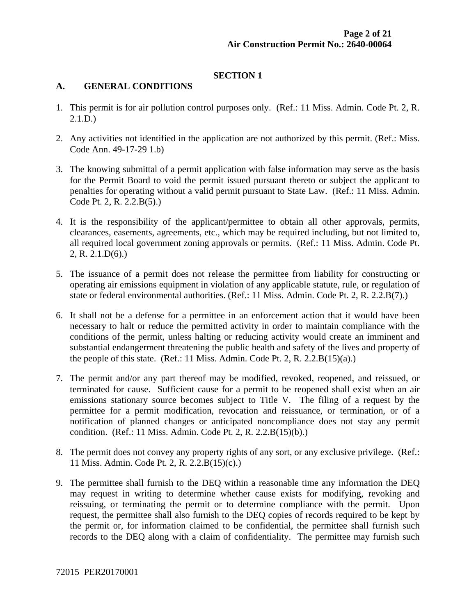#### **SECTION 1**

#### **A. GENERAL CONDITIONS**

- 1. This permit is for air pollution control purposes only. (Ref.: 11 Miss. Admin. Code Pt. 2, R. 2.1.D.)
- 2. Any activities not identified in the application are not authorized by this permit. (Ref.: Miss. Code Ann. 49-17-29 1.b)
- 3. The knowing submittal of a permit application with false information may serve as the basis for the Permit Board to void the permit issued pursuant thereto or subject the applicant to penalties for operating without a valid permit pursuant to State Law. (Ref.: 11 Miss. Admin. Code Pt. 2, R. 2.2.B(5).)
- 4. It is the responsibility of the applicant/permittee to obtain all other approvals, permits, clearances, easements, agreements, etc., which may be required including, but not limited to, all required local government zoning approvals or permits. (Ref.: 11 Miss. Admin. Code Pt. 2, R. 2.1.D(6).)
- 5. The issuance of a permit does not release the permittee from liability for constructing or operating air emissions equipment in violation of any applicable statute, rule, or regulation of state or federal environmental authorities. (Ref.: 11 Miss. Admin. Code Pt. 2, R. 2.2.B(7).)
- 6. It shall not be a defense for a permittee in an enforcement action that it would have been necessary to halt or reduce the permitted activity in order to maintain compliance with the conditions of the permit, unless halting or reducing activity would create an imminent and substantial endangerment threatening the public health and safety of the lives and property of the people of this state. (Ref.: 11 Miss. Admin. Code Pt. 2, R. 2.2. $B(15)(a)$ .)
- 7. The permit and/or any part thereof may be modified, revoked, reopened, and reissued, or terminated for cause. Sufficient cause for a permit to be reopened shall exist when an air emissions stationary source becomes subject to Title V. The filing of a request by the permittee for a permit modification, revocation and reissuance, or termination, or of a notification of planned changes or anticipated noncompliance does not stay any permit condition. (Ref.: 11 Miss. Admin. Code Pt. 2, R. 2.2.B(15)(b).)
- 8. The permit does not convey any property rights of any sort, or any exclusive privilege. (Ref.: 11 Miss. Admin. Code Pt. 2, R. 2.2.B(15)(c).)
- 9. The permittee shall furnish to the DEQ within a reasonable time any information the DEQ may request in writing to determine whether cause exists for modifying, revoking and reissuing, or terminating the permit or to determine compliance with the permit. Upon request, the permittee shall also furnish to the DEQ copies of records required to be kept by the permit or, for information claimed to be confidential, the permittee shall furnish such records to the DEQ along with a claim of confidentiality. The permittee may furnish such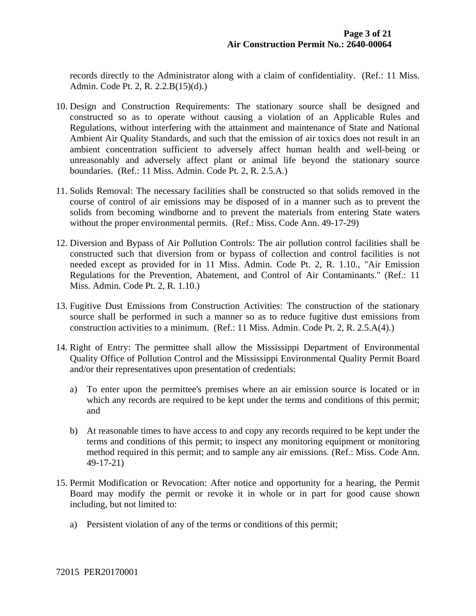records directly to the Administrator along with a claim of confidentiality. (Ref.: 11 Miss. Admin. Code Pt. 2, R. 2.2.B(15)(d).)

- 10. Design and Construction Requirements: The stationary source shall be designed and constructed so as to operate without causing a violation of an Applicable Rules and Regulations, without interfering with the attainment and maintenance of State and National Ambient Air Quality Standards, and such that the emission of air toxics does not result in an ambient concentration sufficient to adversely affect human health and well-being or unreasonably and adversely affect plant or animal life beyond the stationary source boundaries. (Ref.: 11 Miss. Admin. Code Pt. 2, R. 2.5.A.)
- 11. Solids Removal: The necessary facilities shall be constructed so that solids removed in the course of control of air emissions may be disposed of in a manner such as to prevent the solids from becoming windborne and to prevent the materials from entering State waters without the proper environmental permits. (Ref.: Miss. Code Ann. 49-17-29)
- 12. Diversion and Bypass of Air Pollution Controls: The air pollution control facilities shall be constructed such that diversion from or bypass of collection and control facilities is not needed except as provided for in 11 Miss. Admin. Code Pt. 2, R. 1.10., "Air Emission Regulations for the Prevention, Abatement, and Control of Air Contaminants." (Ref.: 11 Miss. Admin. Code Pt. 2, R. 1.10.)
- 13. Fugitive Dust Emissions from Construction Activities: The construction of the stationary source shall be performed in such a manner so as to reduce fugitive dust emissions from construction activities to a minimum. (Ref.: 11 Miss. Admin. Code Pt. 2, R. 2.5.A(4).)
- 14. Right of Entry: The permittee shall allow the Mississippi Department of Environmental Quality Office of Pollution Control and the Mississippi Environmental Quality Permit Board and/or their representatives upon presentation of credentials:
	- a) To enter upon the permittee's premises where an air emission source is located or in which any records are required to be kept under the terms and conditions of this permit; and
	- b) At reasonable times to have access to and copy any records required to be kept under the terms and conditions of this permit; to inspect any monitoring equipment or monitoring method required in this permit; and to sample any air emissions. (Ref.: Miss. Code Ann. 49-17-21)
- 15. Permit Modification or Revocation: After notice and opportunity for a hearing, the Permit Board may modify the permit or revoke it in whole or in part for good cause shown including, but not limited to:
	- a) Persistent violation of any of the terms or conditions of this permit;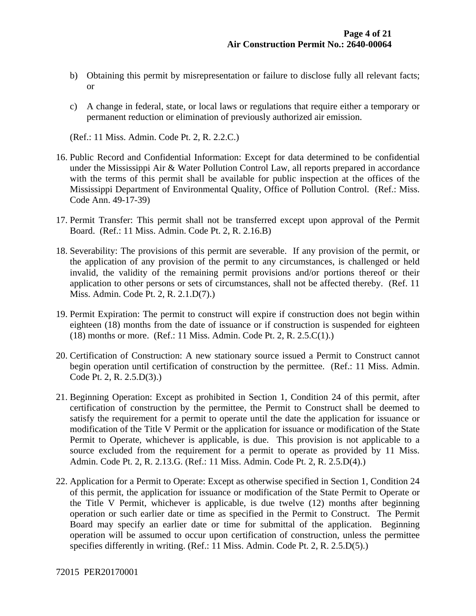- b) Obtaining this permit by misrepresentation or failure to disclose fully all relevant facts; or
- c) A change in federal, state, or local laws or regulations that require either a temporary or permanent reduction or elimination of previously authorized air emission.

(Ref.: 11 Miss. Admin. Code Pt. 2, R. 2.2.C.)

- 16. Public Record and Confidential Information: Except for data determined to be confidential under the Mississippi Air & Water Pollution Control Law, all reports prepared in accordance with the terms of this permit shall be available for public inspection at the offices of the Mississippi Department of Environmental Quality, Office of Pollution Control. (Ref.: Miss. Code Ann. 49-17-39)
- 17. Permit Transfer: This permit shall not be transferred except upon approval of the Permit Board. (Ref.: 11 Miss. Admin. Code Pt. 2, R. 2.16.B)
- 18. Severability: The provisions of this permit are severable. If any provision of the permit, or the application of any provision of the permit to any circumstances, is challenged or held invalid, the validity of the remaining permit provisions and/or portions thereof or their application to other persons or sets of circumstances, shall not be affected thereby. (Ref. 11 Miss. Admin. Code Pt. 2, R. 2.1.D(7).)
- 19. Permit Expiration: The permit to construct will expire if construction does not begin within eighteen (18) months from the date of issuance or if construction is suspended for eighteen (18) months or more. (Ref.: 11 Miss. Admin. Code Pt. 2, R. 2.5.C(1).)
- 20. Certification of Construction: A new stationary source issued a Permit to Construct cannot begin operation until certification of construction by the permittee. (Ref.: 11 Miss. Admin. Code Pt. 2, R. 2.5.D(3).)
- 21. Beginning Operation: Except as prohibited in Section 1, Condition 24 of this permit, after certification of construction by the permittee, the Permit to Construct shall be deemed to satisfy the requirement for a permit to operate until the date the application for issuance or modification of the Title V Permit or the application for issuance or modification of the State Permit to Operate, whichever is applicable, is due. This provision is not applicable to a source excluded from the requirement for a permit to operate as provided by 11 Miss. Admin. Code Pt. 2, R. 2.13.G. (Ref.: 11 Miss. Admin. Code Pt. 2, R. 2.5.D(4).)
- 22. Application for a Permit to Operate: Except as otherwise specified in Section 1, Condition 24 of this permit, the application for issuance or modification of the State Permit to Operate or the Title V Permit, whichever is applicable, is due twelve (12) months after beginning operation or such earlier date or time as specified in the Permit to Construct. The Permit Board may specify an earlier date or time for submittal of the application. Beginning operation will be assumed to occur upon certification of construction, unless the permittee specifies differently in writing. (Ref.: 11 Miss. Admin. Code Pt. 2, R. 2.5.D(5).)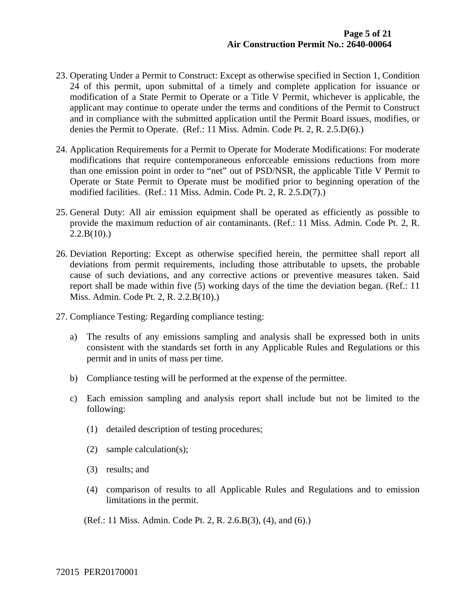- 23. Operating Under a Permit to Construct: Except as otherwise specified in Section 1, Condition 24 of this permit, upon submittal of a timely and complete application for issuance or modification of a State Permit to Operate or a Title V Permit, whichever is applicable, the applicant may continue to operate under the terms and conditions of the Permit to Construct and in compliance with the submitted application until the Permit Board issues, modifies, or denies the Permit to Operate. (Ref.: 11 Miss. Admin. Code Pt. 2, R. 2.5.D(6).)
- 24. Application Requirements for a Permit to Operate for Moderate Modifications: For moderate modifications that require contemporaneous enforceable emissions reductions from more than one emission point in order to "net" out of PSD/NSR, the applicable Title V Permit to Operate or State Permit to Operate must be modified prior to beginning operation of the modified facilities. (Ref.: 11 Miss. Admin. Code Pt. 2, R. 2.5.D(7).)
- 25. General Duty: All air emission equipment shall be operated as efficiently as possible to provide the maximum reduction of air contaminants. (Ref.: 11 Miss. Admin. Code Pt. 2, R.  $2.2.B(10)$ .)
- 26. Deviation Reporting: Except as otherwise specified herein, the permittee shall report all deviations from permit requirements, including those attributable to upsets, the probable cause of such deviations, and any corrective actions or preventive measures taken. Said report shall be made within five (5) working days of the time the deviation began. (Ref.: 11 Miss. Admin. Code Pt. 2, R. 2.2.B(10).)
- 27. Compliance Testing: Regarding compliance testing:
	- a) The results of any emissions sampling and analysis shall be expressed both in units consistent with the standards set forth in any Applicable Rules and Regulations or this permit and in units of mass per time.
	- b) Compliance testing will be performed at the expense of the permittee.
	- c) Each emission sampling and analysis report shall include but not be limited to the following:
		- (1) detailed description of testing procedures;
		- (2) sample calculation(s);
		- (3) results; and
		- (4) comparison of results to all Applicable Rules and Regulations and to emission limitations in the permit.

(Ref.: 11 Miss. Admin. Code Pt. 2, R. 2.6.B(3), (4), and (6).)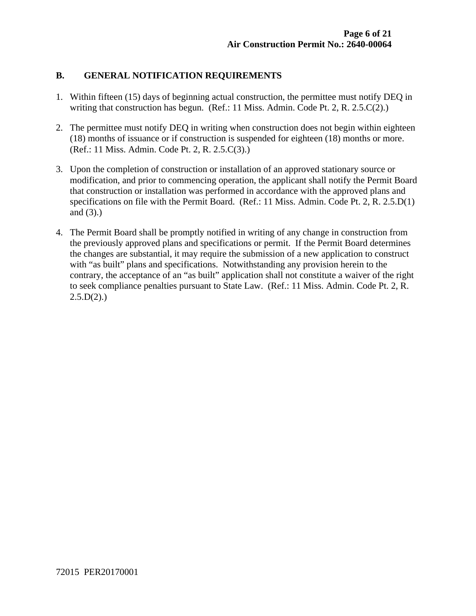#### **B. GENERAL NOTIFICATION REQUIREMENTS**

- 1. Within fifteen (15) days of beginning actual construction, the permittee must notify DEQ in writing that construction has begun. (Ref.: 11 Miss. Admin. Code Pt. 2, R. 2.5.C(2).)
- 2. The permittee must notify DEQ in writing when construction does not begin within eighteen (18) months of issuance or if construction is suspended for eighteen (18) months or more. (Ref.: 11 Miss. Admin. Code Pt. 2, R. 2.5.C(3).)
- 3. Upon the completion of construction or installation of an approved stationary source or modification, and prior to commencing operation, the applicant shall notify the Permit Board that construction or installation was performed in accordance with the approved plans and specifications on file with the Permit Board. (Ref.: 11 Miss. Admin. Code Pt. 2, R. 2.5.D(1) and (3).)
- 4. The Permit Board shall be promptly notified in writing of any change in construction from the previously approved plans and specifications or permit. If the Permit Board determines the changes are substantial, it may require the submission of a new application to construct with "as built" plans and specifications. Notwithstanding any provision herein to the contrary, the acceptance of an "as built" application shall not constitute a waiver of the right to seek compliance penalties pursuant to State Law. (Ref.: 11 Miss. Admin. Code Pt. 2, R.  $2.5.D(2).$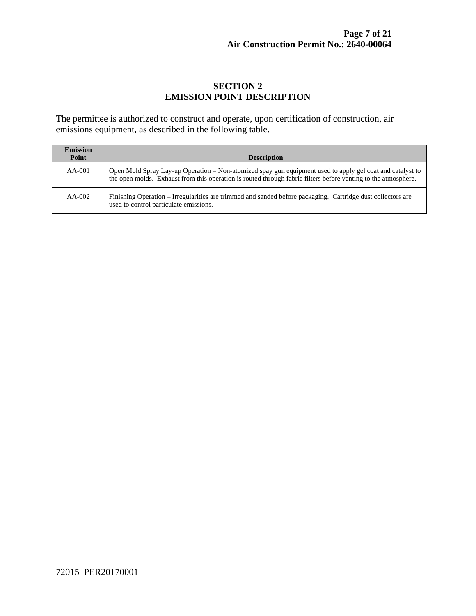#### **SECTION 2 EMISSION POINT DESCRIPTION**

The permittee is authorized to construct and operate, upon certification of construction, air emissions equipment, as described in the following table.

| <b>Emission</b><br>Point | <b>Description</b>                                                                                                                                                                                                          |
|--------------------------|-----------------------------------------------------------------------------------------------------------------------------------------------------------------------------------------------------------------------------|
| $AA-001$                 | Open Mold Spray Lay-up Operation – Non-atomized spay gun equipment used to apply gel coat and catalyst to<br>the open molds. Exhaust from this operation is routed through fabric filters before venting to the atmosphere. |
| $AA-002$                 | Finishing Operation – Irregularities are trimmed and sanded before packaging. Cartridge dust collectors are<br>used to control particulate emissions.                                                                       |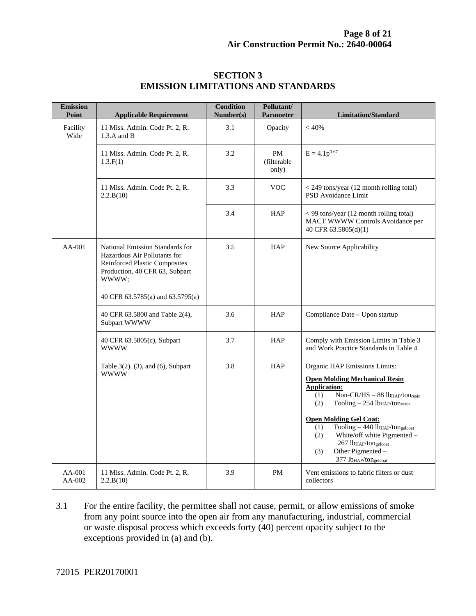| <b>Emission</b><br>Point | <b>Applicable Requirement</b>                                                                                                                      | <b>Condition</b><br>Number(s) | Pollutant/<br><b>Parameter</b>    | <b>Limitation/Standard</b>                                                                                                                                                                                                                                                                                                                                                                                                                                                                   |
|--------------------------|----------------------------------------------------------------------------------------------------------------------------------------------------|-------------------------------|-----------------------------------|----------------------------------------------------------------------------------------------------------------------------------------------------------------------------------------------------------------------------------------------------------------------------------------------------------------------------------------------------------------------------------------------------------------------------------------------------------------------------------------------|
| Facility<br>Wide         | 11 Miss. Admin. Code Pt. 2, R.<br>$1.3.A$ and B                                                                                                    | 3.1                           | Opacity                           | < 40%                                                                                                                                                                                                                                                                                                                                                                                                                                                                                        |
|                          | 11 Miss. Admin. Code Pt. 2, R.<br>1.3.F(1)                                                                                                         | 3.2                           | <b>PM</b><br>(filterable<br>only) | $E = 4.1p^{0.67}$                                                                                                                                                                                                                                                                                                                                                                                                                                                                            |
|                          | 11 Miss. Admin. Code Pt. 2, R.<br>2.2.B(10)                                                                                                        | 3.3                           | <b>VOC</b>                        | < 249 tons/year (12 month rolling total)<br>PSD Avoidance Limit                                                                                                                                                                                                                                                                                                                                                                                                                              |
|                          |                                                                                                                                                    | 3.4                           | <b>HAP</b>                        | < 99 tons/year (12 month rolling total)<br>MACT WWWW Controls Avoidance per<br>40 CFR 63.5805(d)(1)                                                                                                                                                                                                                                                                                                                                                                                          |
| $AA-001$                 | National Emission Standards for<br>Hazardous Air Pollutants for<br><b>Reinforced Plastic Composites</b><br>Production, 40 CFR 63, Subpart<br>wwww; | 3.5                           | <b>HAP</b>                        | New Source Applicability                                                                                                                                                                                                                                                                                                                                                                                                                                                                     |
|                          | 40 CFR 63.5785(a) and 63.5795(a)                                                                                                                   |                               |                                   |                                                                                                                                                                                                                                                                                                                                                                                                                                                                                              |
|                          | 40 CFR 63.5800 and Table 2(4),<br>Subpart WWWW                                                                                                     | 3.6                           | <b>HAP</b>                        | Compliance Date - Upon startup                                                                                                                                                                                                                                                                                                                                                                                                                                                               |
|                          | 40 CFR 63.5805(c), Subpart<br><b>WWWW</b>                                                                                                          | 3.7                           | HAP                               | Comply with Emission Limits in Table 3<br>and Work Practice Standards in Table 4                                                                                                                                                                                                                                                                                                                                                                                                             |
|                          | Table $3(2)$ , $(3)$ , and $(6)$ , Subpart<br><b>WWWW</b>                                                                                          | 3.8                           | HAP                               | Organic HAP Emissions Limits:<br><b>Open Molding Mechanical Resin</b><br><b>Application:</b><br>Non-CR/HS - 88 lb <sub>HAP</sub> /tonresin<br>(1)<br>(2)<br>Tooling - 254 lb <sub>HAP</sub> /tonresin<br><b>Open Molding Gel Coat:</b><br>$\overline{\text{Tooling}} - 440 \overline{\text{lb}}_{\text{HAP}}/\text{ton}_{\text{gelcoat}}$<br>(1)<br>White/off white Pigmented -<br>(2)<br>267 lb <sub>HAP</sub> /tongelcoat<br>Other Pigmented -<br>(3)<br>377 lb <sub>HAP</sub> /tongelcoat |
| $AA-001$<br>AA-002       | 11 Miss. Admin. Code Pt. 2, R.<br>2.2.B(10)                                                                                                        | 3.9                           | <b>PM</b>                         | Vent emissions to fabric filters or dust<br>collectors                                                                                                                                                                                                                                                                                                                                                                                                                                       |

#### **SECTION 3 EMISSION LIMITATIONS AND STANDARDS**

3.1 For the entire facility, the permittee shall not cause, permit, or allow emissions of smoke from any point source into the open air from any manufacturing, industrial, commercial or waste disposal process which exceeds forty (40) percent opacity subject to the exceptions provided in (a) and (b).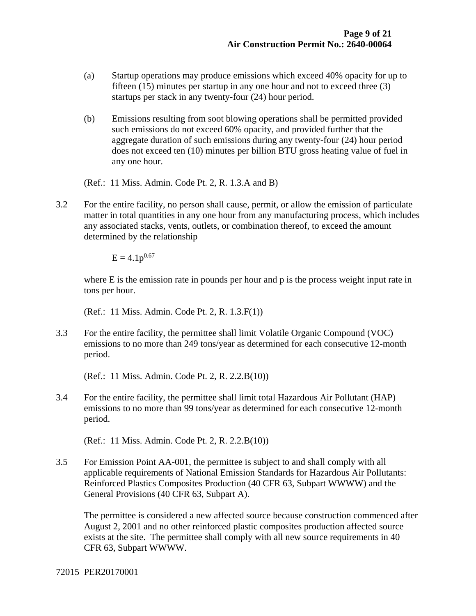- (a) Startup operations may produce emissions which exceed 40% opacity for up to fifteen (15) minutes per startup in any one hour and not to exceed three (3) startups per stack in any twenty-four (24) hour period.
- (b) Emissions resulting from soot blowing operations shall be permitted provided such emissions do not exceed 60% opacity, and provided further that the aggregate duration of such emissions during any twenty-four (24) hour period does not exceed ten (10) minutes per billion BTU gross heating value of fuel in any one hour.

(Ref.: 11 Miss. Admin. Code Pt. 2, R. 1.3.A and B)

3.2 For the entire facility, no person shall cause, permit, or allow the emission of particulate matter in total quantities in any one hour from any manufacturing process, which includes any associated stacks, vents, outlets, or combination thereof, to exceed the amount determined by the relationship

 $E = 4.1p^{0.67}$ 

where E is the emission rate in pounds per hour and p is the process weight input rate in tons per hour.

(Ref.: 11 Miss. Admin. Code Pt. 2, R. 1.3.F(1))

3.3 For the entire facility, the permittee shall limit Volatile Organic Compound (VOC) emissions to no more than 249 tons/year as determined for each consecutive 12-month period.

(Ref.: 11 Miss. Admin. Code Pt. 2, R. 2.2.B(10))

3.4 For the entire facility, the permittee shall limit total Hazardous Air Pollutant (HAP) emissions to no more than 99 tons/year as determined for each consecutive 12-month period.

(Ref.: 11 Miss. Admin. Code Pt. 2, R. 2.2.B(10))

3.5 For Emission Point AA-001, the permittee is subject to and shall comply with all applicable requirements of National Emission Standards for Hazardous Air Pollutants: Reinforced Plastics Composites Production (40 CFR 63, Subpart WWWW) and the General Provisions (40 CFR 63, Subpart A).

 The permittee is considered a new affected source because construction commenced after August 2, 2001 and no other reinforced plastic composites production affected source exists at the site. The permittee shall comply with all new source requirements in 40 CFR 63, Subpart WWWW.

72015 PER20170001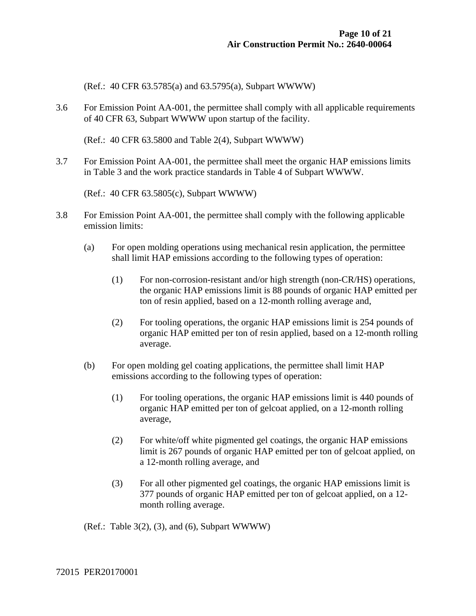(Ref.: 40 CFR 63.5785(a) and 63.5795(a), Subpart WWWW)

3.6 For Emission Point AA-001, the permittee shall comply with all applicable requirements of 40 CFR 63, Subpart WWWW upon startup of the facility.

(Ref.: 40 CFR 63.5800 and Table 2(4), Subpart WWWW)

3.7 For Emission Point AA-001, the permittee shall meet the organic HAP emissions limits in Table 3 and the work practice standards in Table 4 of Subpart WWWW.

(Ref.: 40 CFR 63.5805(c), Subpart WWWW)

- 3.8 For Emission Point AA-001, the permittee shall comply with the following applicable emission limits:
	- (a) For open molding operations using mechanical resin application, the permittee shall limit HAP emissions according to the following types of operation:
		- (1) For non-corrosion-resistant and/or high strength (non-CR/HS) operations, the organic HAP emissions limit is 88 pounds of organic HAP emitted per ton of resin applied, based on a 12-month rolling average and,
		- (2) For tooling operations, the organic HAP emissions limit is 254 pounds of organic HAP emitted per ton of resin applied, based on a 12-month rolling average.
	- (b) For open molding gel coating applications, the permittee shall limit HAP emissions according to the following types of operation:
		- (1) For tooling operations, the organic HAP emissions limit is 440 pounds of organic HAP emitted per ton of gelcoat applied, on a 12-month rolling average,
		- (2) For white/off white pigmented gel coatings, the organic HAP emissions limit is 267 pounds of organic HAP emitted per ton of gelcoat applied, on a 12-month rolling average, and
		- (3) For all other pigmented gel coatings, the organic HAP emissions limit is 377 pounds of organic HAP emitted per ton of gelcoat applied, on a 12 month rolling average.

(Ref.: Table  $3(2)$ ,  $(3)$ , and  $(6)$ , Subpart WWWW)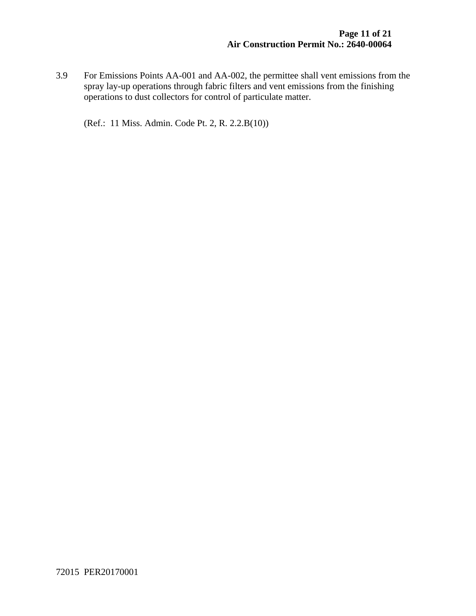3.9 For Emissions Points AA-001 and AA-002, the permittee shall vent emissions from the spray lay-up operations through fabric filters and vent emissions from the finishing operations to dust collectors for control of particulate matter.

(Ref.: 11 Miss. Admin. Code Pt. 2, R. 2.2.B(10))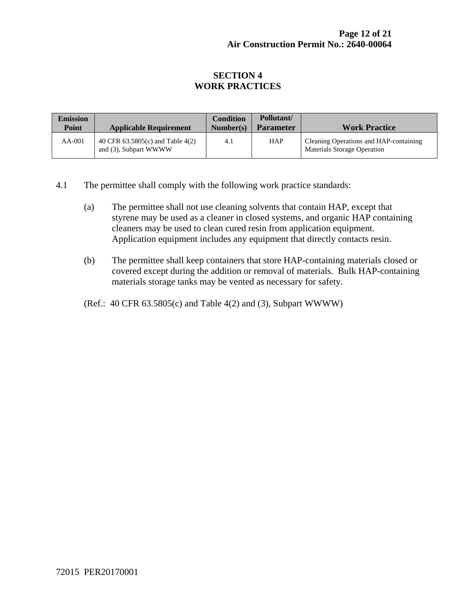#### **SECTION 4 WORK PRACTICES**

| <b>Emission</b><br>Point | <b>Applicable Requirement</b>                             | <b>Condition</b><br>Number(s) | Pollutant/<br><b>Parameter</b> | <b>Work Practice</b>                                                  |
|--------------------------|-----------------------------------------------------------|-------------------------------|--------------------------------|-----------------------------------------------------------------------|
| $AA-001$                 | 40 CFR 63.5805(c) and Table 4(2)<br>and (3), Subpart WWWW | 4.1                           | <b>HAP</b>                     | Cleaning Operations and HAP-containing<br>Materials Storage Operation |

- 4.1 The permittee shall comply with the following work practice standards:
	- (a) The permittee shall not use cleaning solvents that contain HAP, except that styrene may be used as a cleaner in closed systems, and organic HAP containing cleaners may be used to clean cured resin from application equipment. Application equipment includes any equipment that directly contacts resin.
	- (b) The permittee shall keep containers that store HAP-containing materials closed or covered except during the addition or removal of materials. Bulk HAP-containing materials storage tanks may be vented as necessary for safety.
	- (Ref.: 40 CFR 63.5805(c) and Table 4(2) and (3), Subpart WWWW)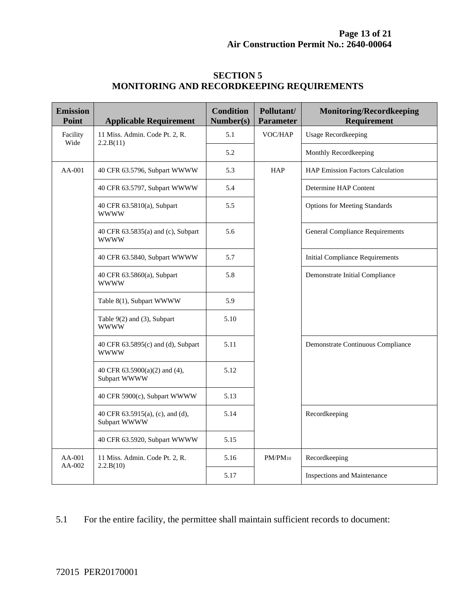| <b>Emission</b><br>Point | <b>Applicable Requirement</b>                      | <b>Condition</b><br>Number(s) | Pollutant/<br><b>Parameter</b> | <b>Monitoring/Recordkeeping</b><br><b>Requirement</b> |
|--------------------------|----------------------------------------------------|-------------------------------|--------------------------------|-------------------------------------------------------|
| Facility<br>Wide         | 11 Miss. Admin. Code Pt. 2, R.<br>2.2.B(11)        | 5.1                           | VOC/HAP                        | <b>Usage Recordkeeping</b>                            |
|                          |                                                    | 5.2                           |                                | Monthly Recordkeeping                                 |
| $AA-001$                 | 40 CFR 63.5796, Subpart WWWW                       | 5.3                           | <b>HAP</b>                     | <b>HAP Emission Factors Calculation</b>               |
|                          | 40 CFR 63.5797, Subpart WWWW                       | 5.4                           |                                | Determine HAP Content                                 |
|                          | 40 CFR 63.5810(a), Subpart<br><b>WWWW</b>          | 5.5                           |                                | <b>Options for Meeting Standards</b>                  |
|                          | 40 CFR 63.5835(a) and (c), Subpart<br><b>WWWW</b>  | 5.6                           |                                | <b>General Compliance Requirements</b>                |
|                          | 40 CFR 63.5840, Subpart WWWW                       | 5.7                           |                                | <b>Initial Compliance Requirements</b>                |
|                          | 40 CFR 63.5860(a), Subpart<br><b>WWWW</b>          | 5.8                           |                                | Demonstrate Initial Compliance                        |
|                          | Table 8(1), Subpart WWWW                           | 5.9                           |                                |                                                       |
|                          | Table 9(2) and (3), Subpart<br><b>WWWW</b>         | 5.10                          |                                |                                                       |
|                          | 40 CFR 63.5895(c) and (d), Subpart<br><b>WWWW</b>  | 5.11                          |                                | Demonstrate Continuous Compliance                     |
|                          | 40 CFR $63.5900(a)(2)$ and $(4)$ ,<br>Subpart WWWW | 5.12                          |                                |                                                       |
|                          | 40 CFR 5900(c), Subpart WWWW                       | 5.13                          |                                |                                                       |
|                          | 40 CFR 63.5915(a), (c), and (d),<br>Subpart WWWW   | 5.14                          |                                | Recordkeeping                                         |
|                          | 40 CFR 63.5920, Subpart WWWW                       | 5.15                          |                                |                                                       |
| AA-001<br>AA-002         | 11 Miss. Admin. Code Pt. 2, R.<br>2.2.B(10)        | 5.16                          | $PM/PM_{10}$                   | Recordkeeping                                         |
|                          |                                                    | 5.17                          |                                | Inspections and Maintenance                           |

#### **SECTION 5 MONITORING AND RECORDKEEPING REQUIREMENTS**

5.1 For the entire facility, the permittee shall maintain sufficient records to document: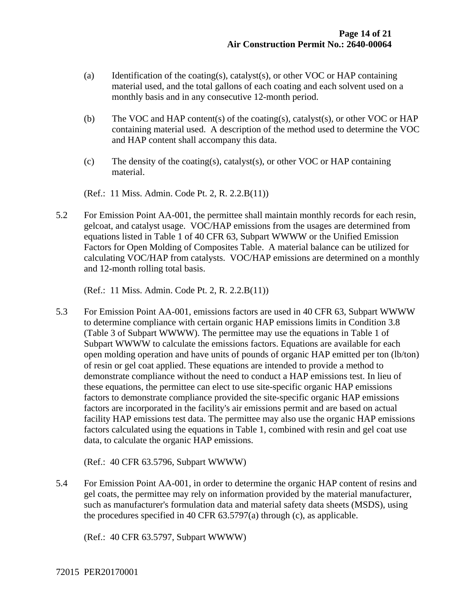- (a) Identification of the coating(s), catalyst(s), or other VOC or HAP containing material used, and the total gallons of each coating and each solvent used on a monthly basis and in any consecutive 12-month period.
- (b) The VOC and HAP content(s) of the coating(s), catalyst(s), or other VOC or HAP containing material used. A description of the method used to determine the VOC and HAP content shall accompany this data.
- (c) The density of the coating(s), catalyst(s), or other VOC or HAP containing material.

(Ref.: 11 Miss. Admin. Code Pt. 2, R. 2.2.B(11))

5.2 For Emission Point AA-001, the permittee shall maintain monthly records for each resin, gelcoat, and catalyst usage. VOC/HAP emissions from the usages are determined from equations listed in Table 1 of 40 CFR 63, Subpart WWWW or the Unified Emission Factors for Open Molding of Composites Table. A material balance can be utilized for calculating VOC/HAP from catalysts. VOC/HAP emissions are determined on a monthly and 12-month rolling total basis.

(Ref.: 11 Miss. Admin. Code Pt. 2, R. 2.2.B(11))

5.3 For Emission Point AA-001, emissions factors are used in 40 CFR 63, Subpart WWWW to determine compliance with certain organic HAP emissions limits in Condition 3.8 (Table 3 of Subpart WWWW). The permittee may use the equations in Table 1 of Subpart WWWW to calculate the emissions factors. Equations are available for each open molding operation and have units of pounds of organic HAP emitted per ton (lb/ton) of resin or gel coat applied. These equations are intended to provide a method to demonstrate compliance without the need to conduct a HAP emissions test. In lieu of these equations, the permittee can elect to use site-specific organic HAP emissions factors to demonstrate compliance provided the site-specific organic HAP emissions factors are incorporated in the facility's air emissions permit and are based on actual facility HAP emissions test data. The permittee may also use the organic HAP emissions factors calculated using the equations in Table 1, combined with resin and gel coat use data, to calculate the organic HAP emissions.

(Ref.: 40 CFR 63.5796, Subpart WWWW)

5.4 For Emission Point AA-001, in order to determine the organic HAP content of resins and gel coats, the permittee may rely on information provided by the material manufacturer, such as manufacturer's formulation data and material safety data sheets (MSDS), using the procedures specified in 40 CFR 63.5797(a) through (c), as applicable.

(Ref.: 40 CFR 63.5797, Subpart WWWW)

72015 PER20170001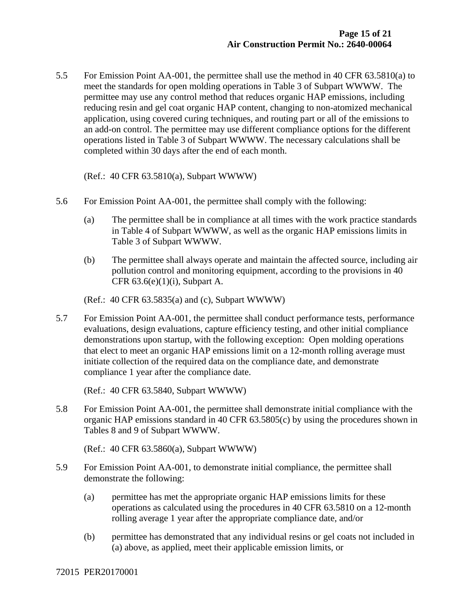5.5 For Emission Point AA-001, the permittee shall use the method in 40 CFR 63.5810(a) to meet the standards for open molding operations in Table 3 of Subpart WWWW. The permittee may use any control method that reduces organic HAP emissions, including reducing resin and gel coat organic HAP content, changing to non-atomized mechanical application, using covered curing techniques, and routing part or all of the emissions to an add-on control. The permittee may use different compliance options for the different operations listed in Table 3 of Subpart WWWW. The necessary calculations shall be completed within 30 days after the end of each month.

(Ref.: 40 CFR 63.5810(a), Subpart WWWW)

- 5.6 For Emission Point AA-001, the permittee shall comply with the following:
	- (a) The permittee shall be in compliance at all times with the work practice standards in Table 4 of Subpart WWWW, as well as the organic HAP emissions limits in Table 3 of Subpart WWWW.
	- (b) The permittee shall always operate and maintain the affected source, including air pollution control and monitoring equipment, according to the provisions in 40 CFR  $63.6(e)(1)(i)$ , Subpart A.

(Ref.: 40 CFR 63.5835(a) and (c), Subpart WWWW)

5.7 For Emission Point AA-001, the permittee shall conduct performance tests, performance evaluations, design evaluations, capture efficiency testing, and other initial compliance demonstrations upon startup, with the following exception: Open molding operations that elect to meet an organic HAP emissions limit on a 12-month rolling average must initiate collection of the required data on the compliance date, and demonstrate compliance 1 year after the compliance date.

(Ref.: 40 CFR 63.5840, Subpart WWWW)

5.8 For Emission Point AA-001, the permittee shall demonstrate initial compliance with the organic HAP emissions standard in 40 CFR 63.5805(c) by using the procedures shown in Tables 8 and 9 of Subpart WWWW.

(Ref.: 40 CFR 63.5860(a), Subpart WWWW)

- 5.9 For Emission Point AA-001, to demonstrate initial compliance, the permittee shall demonstrate the following:
	- (a) permittee has met the appropriate organic HAP emissions limits for these operations as calculated using the procedures in 40 CFR 63.5810 on a 12-month rolling average 1 year after the appropriate compliance date, and/or
	- (b) permittee has demonstrated that any individual resins or gel coats not included in (a) above, as applied, meet their applicable emission limits, or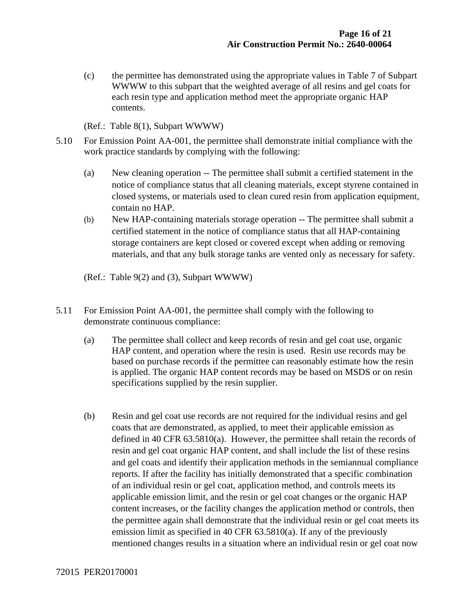(c) the permittee has demonstrated using the appropriate values in Table 7 of Subpart WWWW to this subpart that the weighted average of all resins and gel coats for each resin type and application method meet the appropriate organic HAP contents.

(Ref.: Table 8(1), Subpart WWWW)

- 5.10 For Emission Point AA-001, the permittee shall demonstrate initial compliance with the work practice standards by complying with the following:
	- (a) New cleaning operation -- The permittee shall submit a certified statement in the notice of compliance status that all cleaning materials, except styrene contained in closed systems, or materials used to clean cured resin from application equipment, contain no HAP.
	- (b) New HAP-containing materials storage operation -- The permittee shall submit a certified statement in the notice of compliance status that all HAP-containing storage containers are kept closed or covered except when adding or removing materials, and that any bulk storage tanks are vented only as necessary for safety.
	- (Ref.: Table 9(2) and (3), Subpart WWWW)
- 5.11 For Emission Point AA-001, the permittee shall comply with the following to demonstrate continuous compliance:
	- (a) The permittee shall collect and keep records of resin and gel coat use, organic HAP content, and operation where the resin is used. Resin use records may be based on purchase records if the permittee can reasonably estimate how the resin is applied. The organic HAP content records may be based on MSDS or on resin specifications supplied by the resin supplier.
	- (b) Resin and gel coat use records are not required for the individual resins and gel coats that are demonstrated, as applied, to meet their applicable emission as defined in 40 CFR 63.5810(a). However, the permittee shall retain the records of resin and gel coat organic HAP content, and shall include the list of these resins and gel coats and identify their application methods in the semiannual compliance reports. If after the facility has initially demonstrated that a specific combination of an individual resin or gel coat, application method, and controls meets its applicable emission limit, and the resin or gel coat changes or the organic HAP content increases, or the facility changes the application method or controls, then the permittee again shall demonstrate that the individual resin or gel coat meets its emission limit as specified in 40 CFR 63.5810(a). If any of the previously mentioned changes results in a situation where an individual resin or gel coat now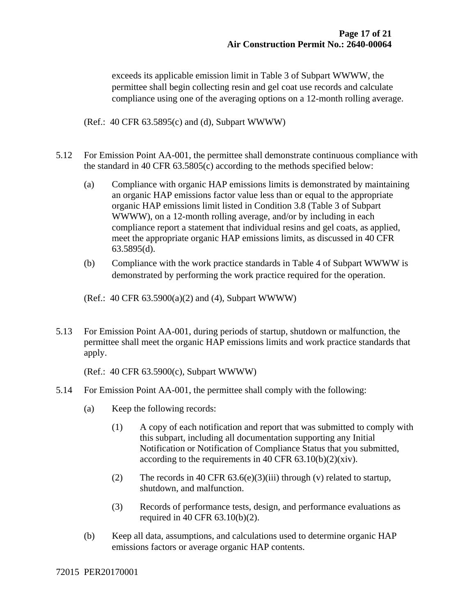exceeds its applicable emission limit in Table 3 of Subpart WWWW, the permittee shall begin collecting resin and gel coat use records and calculate compliance using one of the averaging options on a 12-month rolling average.

(Ref.: 40 CFR 63.5895(c) and (d), Subpart WWWW)

- 5.12 For Emission Point AA-001, the permittee shall demonstrate continuous compliance with the standard in 40 CFR 63.5805(c) according to the methods specified below:
	- (a) Compliance with organic HAP emissions limits is demonstrated by maintaining an organic HAP emissions factor value less than or equal to the appropriate organic HAP emissions limit listed in Condition 3.8 (Table 3 of Subpart WWWW), on a 12-month rolling average, and/or by including in each compliance report a statement that individual resins and gel coats, as applied, meet the appropriate organic HAP emissions limits, as discussed in 40 CFR 63.5895(d).
	- (b) Compliance with the work practice standards in Table 4 of Subpart WWWW is demonstrated by performing the work practice required for the operation.
	- (Ref.: 40 CFR 63.5900(a)(2) and (4), Subpart WWWW)
- 5.13 For Emission Point AA-001, during periods of startup, shutdown or malfunction, the permittee shall meet the organic HAP emissions limits and work practice standards that apply.

(Ref.: 40 CFR 63.5900(c), Subpart WWWW)

- 5.14 For Emission Point AA-001, the permittee shall comply with the following:
	- (a) Keep the following records:
		- (1) A copy of each notification and report that was submitted to comply with this subpart, including all documentation supporting any Initial Notification or Notification of Compliance Status that you submitted, according to the requirements in 40 CFR  $63.10(b)(2)(xiv)$ .
		- (2) The records in 40 CFR  $63.6(e)(3)(iii)$  through (v) related to startup, shutdown, and malfunction.
		- (3) Records of performance tests, design, and performance evaluations as required in 40 CFR 63.10(b)(2).
	- (b) Keep all data, assumptions, and calculations used to determine organic HAP emissions factors or average organic HAP contents.

72015 PER20170001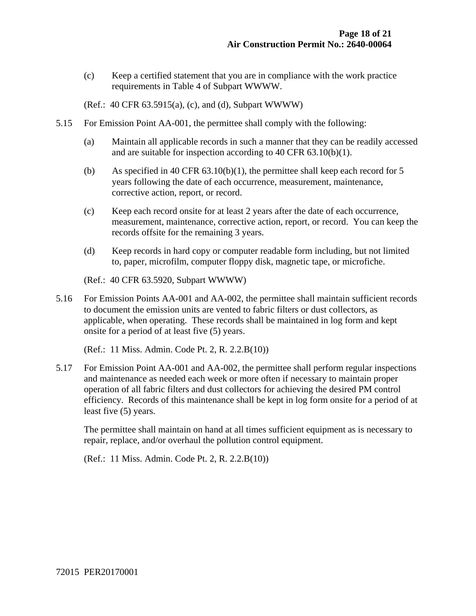(c) Keep a certified statement that you are in compliance with the work practice requirements in Table 4 of Subpart WWWW.

(Ref.: 40 CFR 63.5915(a), (c), and (d), Subpart WWWW)

- 5.15 For Emission Point AA-001, the permittee shall comply with the following:
	- (a) Maintain all applicable records in such a manner that they can be readily accessed and are suitable for inspection according to 40 CFR 63.10(b)(1).
	- (b) As specified in 40 CFR 63.10(b)(1), the permittee shall keep each record for 5 years following the date of each occurrence, measurement, maintenance, corrective action, report, or record.
	- (c) Keep each record onsite for at least 2 years after the date of each occurrence, measurement, maintenance, corrective action, report, or record. You can keep the records offsite for the remaining 3 years.
	- (d) Keep records in hard copy or computer readable form including, but not limited to, paper, microfilm, computer floppy disk, magnetic tape, or microfiche.

(Ref.: 40 CFR 63.5920, Subpart WWWW)

5.16 For Emission Points AA-001 and AA-002, the permittee shall maintain sufficient records to document the emission units are vented to fabric filters or dust collectors, as applicable, when operating. These records shall be maintained in log form and kept onsite for a period of at least five (5) years.

(Ref.: 11 Miss. Admin. Code Pt. 2, R. 2.2.B(10))

5.17 For Emission Point AA-001 and AA-002, the permittee shall perform regular inspections and maintenance as needed each week or more often if necessary to maintain proper operation of all fabric filters and dust collectors for achieving the desired PM control efficiency. Records of this maintenance shall be kept in log form onsite for a period of at least five (5) years.

 The permittee shall maintain on hand at all times sufficient equipment as is necessary to repair, replace, and/or overhaul the pollution control equipment.

(Ref.: 11 Miss. Admin. Code Pt. 2, R. 2.2.B(10))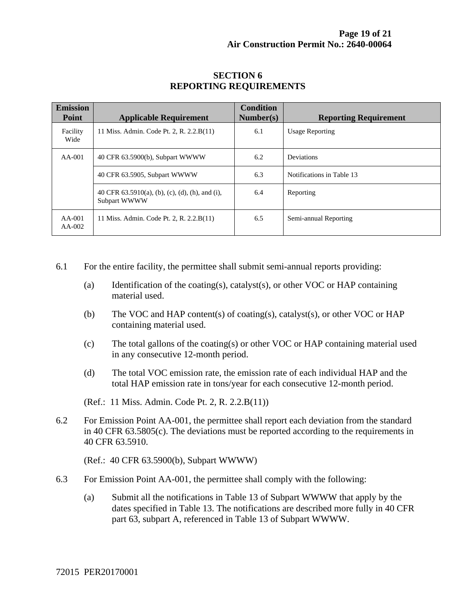| <b>Emission</b><br><b>Point</b> | <b>Applicable Requirement</b>                                      | <b>Condition</b><br>Number(s) | <b>Reporting Requirement</b> |
|---------------------------------|--------------------------------------------------------------------|-------------------------------|------------------------------|
| Facility<br>Wide                | 11 Miss. Admin. Code Pt. 2, R. 2.2.B(11)                           | 6.1                           | <b>Usage Reporting</b>       |
| $AA-001$                        | 40 CFR 63.5900(b), Subpart WWWW                                    | 6.2                           | Deviations                   |
|                                 | 40 CFR 63.5905, Subpart WWWW                                       | 6.3                           | Notifications in Table 13    |
|                                 | 40 CFR $63.5910(a)$ , (b), (c), (d), (h), and (i),<br>Subpart WWWW | 6.4                           | Reporting                    |
| $AA-001$<br>$AA-002$            | 11 Miss. Admin. Code Pt. 2, R. 2.2.B(11)                           | 6.5                           | Semi-annual Reporting        |

#### **SECTION 6 REPORTING REQUIREMENTS**

- 6.1 For the entire facility, the permittee shall submit semi-annual reports providing:
	- (a) Identification of the coating(s), catalyst(s), or other VOC or HAP containing material used.
	- (b) The VOC and HAP content(s) of coating(s), catalyst(s), or other VOC or HAP containing material used.
	- (c) The total gallons of the coating(s) or other VOC or HAP containing material used in any consecutive 12-month period.
	- (d) The total VOC emission rate, the emission rate of each individual HAP and the total HAP emission rate in tons/year for each consecutive 12-month period.

(Ref.: 11 Miss. Admin. Code Pt. 2, R. 2.2.B(11))

6.2 For Emission Point AA-001, the permittee shall report each deviation from the standard in 40 CFR 63.5805(c). The deviations must be reported according to the requirements in 40 CFR 63.5910.

(Ref.: 40 CFR 63.5900(b), Subpart WWWW)

- 6.3 For Emission Point AA-001, the permittee shall comply with the following:
	- (a) Submit all the notifications in Table 13 of Subpart WWWW that apply by the dates specified in Table 13. The notifications are described more fully in 40 CFR part 63, subpart A, referenced in Table 13 of Subpart WWWW.

72015 PER20170001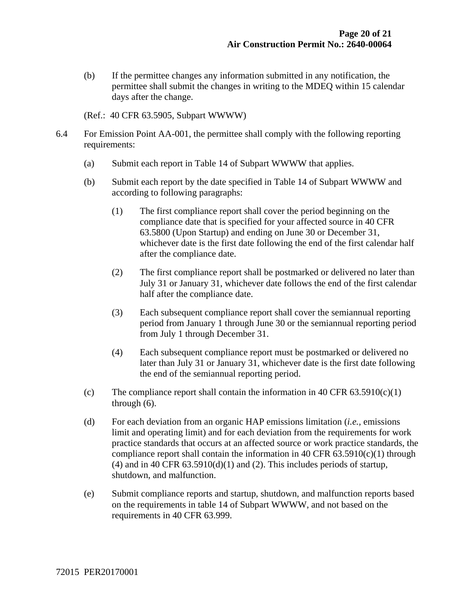(b) If the permittee changes any information submitted in any notification, the permittee shall submit the changes in writing to the MDEQ within 15 calendar days after the change.

(Ref.: 40 CFR 63.5905, Subpart WWWW)

- 6.4 For Emission Point AA-001, the permittee shall comply with the following reporting requirements:
	- (a) Submit each report in Table 14 of Subpart WWWW that applies.
	- (b) Submit each report by the date specified in Table 14 of Subpart WWWW and according to following paragraphs:
		- (1) The first compliance report shall cover the period beginning on the compliance date that is specified for your affected source in 40 CFR 63.5800 (Upon Startup) and ending on June 30 or December 31, whichever date is the first date following the end of the first calendar half after the compliance date.
		- (2) The first compliance report shall be postmarked or delivered no later than July 31 or January 31, whichever date follows the end of the first calendar half after the compliance date.
		- (3) Each subsequent compliance report shall cover the semiannual reporting period from January 1 through June 30 or the semiannual reporting period from July 1 through December 31.
		- (4) Each subsequent compliance report must be postmarked or delivered no later than July 31 or January 31, whichever date is the first date following the end of the semiannual reporting period.
	- (c) The compliance report shall contain the information in 40 CFR  $63.5910(c)(1)$ through (6).
	- (d) For each deviation from an organic HAP emissions limitation (*i.e.,* emissions limit and operating limit) and for each deviation from the requirements for work practice standards that occurs at an affected source or work practice standards, the compliance report shall contain the information in 40 CFR  $63.5910(c)(1)$  through (4) and in 40 CFR  $63.5910(d)(1)$  and (2). This includes periods of startup, shutdown, and malfunction.
	- (e) Submit compliance reports and startup, shutdown, and malfunction reports based on the requirements in table 14 of Subpart WWWW, and not based on the requirements in 40 CFR 63.999.